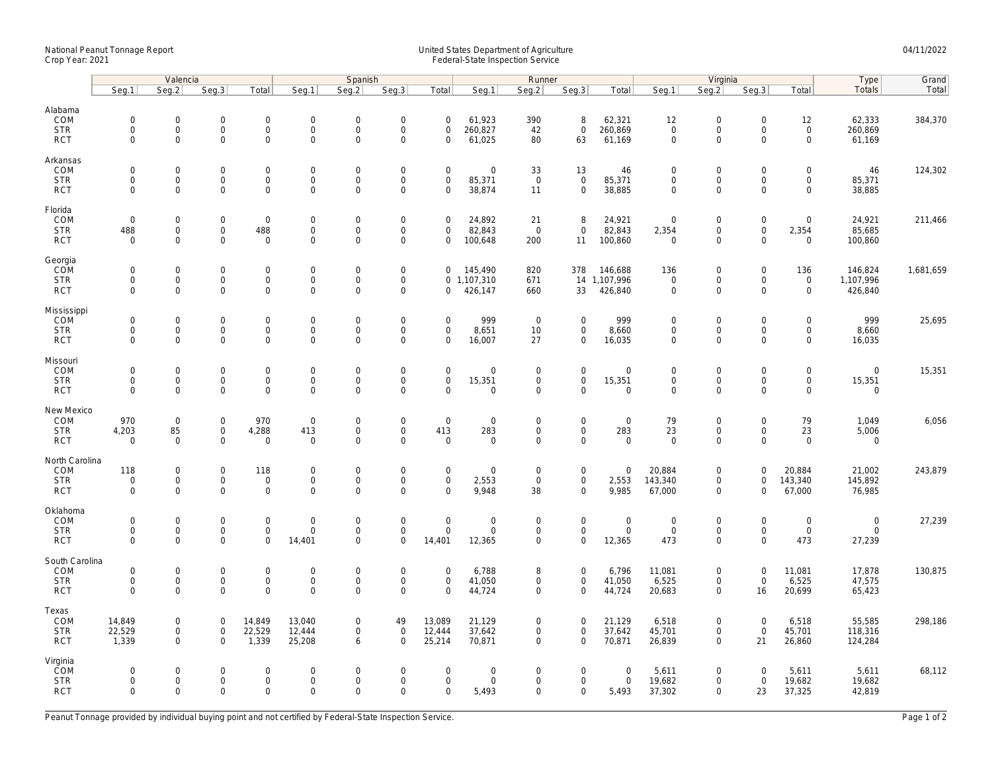## National Peanut Tonnage Report United States Department of Agriculture 04/11/2022<br>Crop Year: 2021 Federal-State Inspection Service

|                                                   | Valencia                                                   |                                            |                                                                |                                                   |                                                     | Spanish                                                |                                                                   |                                                           |                                 | Runner                                            |                                                    |                                           | Virginia                                  |                                                        |                                                   |                                                   | Type                                              | Grand     |
|---------------------------------------------------|------------------------------------------------------------|--------------------------------------------|----------------------------------------------------------------|---------------------------------------------------|-----------------------------------------------------|--------------------------------------------------------|-------------------------------------------------------------------|-----------------------------------------------------------|---------------------------------|---------------------------------------------------|----------------------------------------------------|-------------------------------------------|-------------------------------------------|--------------------------------------------------------|---------------------------------------------------|---------------------------------------------------|---------------------------------------------------|-----------|
|                                                   | Seg.1                                                      | Seq.2                                      | Seg.3                                                          | Total                                             | Seg.1                                               | Seq.2                                                  | Seg.3                                                             | Total                                                     | Seg.1                           | Seg.2                                             | Seq.3                                              | Total                                     | Seq.1                                     | Seq.2                                                  | Seg.3                                             | Total                                             | <b>Totals</b>                                     | Total     |
| Alabama<br>COM<br><b>STR</b><br><b>RCT</b>        | $\mathsf{O}\xspace$<br>0<br>$\mathbf 0$                    | 0<br>$\mathsf{O}\xspace$<br>$\overline{0}$ | $\boldsymbol{0}$<br>$\mathsf{O}\xspace$<br>$\mathsf{O}\xspace$ | $\mathbf 0$<br>$\mathsf{O}\xspace$<br>$\mathbf 0$ | $\mathbf 0$<br>$\mathbf 0$<br>$\mathbf 0$           | $\mathbf 0$<br>$\mathbf 0$<br>$\mathbf 0$              | $\mathsf{O}\xspace$<br>$\mathsf{O}\xspace$<br>$\mathsf{O}\xspace$ | $\mathsf{O}\xspace$<br>$\mathsf{O}\xspace$<br>$\mathbf 0$ | 61,923<br>260,827<br>61,025     | 390<br>42<br>80                                   | 8<br>$\mathsf{O}\xspace$<br>63                     | 62,321<br>260,869<br>61,169               | 12<br>$\mathbf 0$<br>$\mathbf 0$          | $\mathbf 0$<br>$\mathsf{O}\xspace$<br>$\mathbf 0$      | $\mathsf{O}\xspace$<br>$\mathbf 0$<br>$\mathbf 0$ | 12<br>$\mathsf{O}\xspace$<br>$\mathsf{O}\xspace$  | 62,333<br>260,869<br>61,169                       | 384,370   |
| Arkansas<br>COM<br><b>STR</b><br><b>RCT</b>       | $\mathbf 0$<br>$\mathbf 0$<br>$\mathbf{0}$                 | 0<br>$\overline{0}$<br>0                   | $\overline{0}$<br>$\mathbf 0$<br>$\mathsf 0$                   | $\mathsf 0$<br>$\mathbf{0}$<br>$\mathsf 0$        | $\mathbf 0$<br>$\mathbf{0}$<br>$\mathbf 0$          | $\mathbf 0$<br>$\mathbf 0$<br>$\mathbf 0$              | $\mathbf 0$<br>$\mathsf{O}\xspace$<br>$\mathbf 0$                 | $\mathbf 0$<br>$\mathbf 0$<br>$\mathsf{O}\xspace$         | 0<br>85,371<br>38,874           | 33<br>$\mathsf 0$<br>11                           | 13<br>$\mathbf{0}$<br>$\mathbf 0$                  | 46<br>85,371<br>38,885                    | $\mathbf 0$<br>$\mathbf 0$<br>$\mathbf 0$ | $\mathbf 0$<br>$\mathbf 0$<br>$\mathsf 0$              | $\mathbf 0$<br>$\mathbf 0$<br>$\mathbf 0$         | 0<br>$\mathbf 0$<br>0                             | 46<br>85,371<br>38,885                            | 124,302   |
| Florida<br>COM<br><b>STR</b><br><b>RCT</b>        | $\mathsf{O}\xspace$<br>488<br>$\Omega$                     | 0<br>0<br>$\Omega$                         | $\mathsf 0$<br>$\mathsf{O}$<br>$\mathsf 0$                     | $\mathsf 0$<br>488<br>$\mathbf 0$                 | $\mathbf 0$<br>$\mathbf 0$<br>$\mathbf 0$           | $\mathsf{O}\xspace$<br>$\mathsf{O}\xspace$<br>$\Omega$ | $\mathsf{O}\xspace$<br>$\mathbf 0$<br>$\mathbf 0$                 | $\mathbf 0$<br>$\mathbf 0$<br>$\mathbf 0$                 | 24,892<br>82,843<br>100,648     | 21<br>$\mathsf 0$<br>200                          | 8<br>$\mathsf 0$<br>11                             | 24,921<br>82,843<br>100,860               | $\mathbf 0$<br>2,354<br>$\Omega$          | $\boldsymbol{0}$<br>$\mathsf{O}\xspace$<br>$\Omega$    | $\mathsf{O}\xspace$<br>$\mathbf 0$<br>$\Omega$    | 0<br>2,354<br>0                                   | 24,921<br>85,685<br>100,860                       | 211,466   |
| Georgia<br>COM<br><b>STR</b><br><b>RCT</b>        | $\mathsf{O}\xspace$<br>$\mathbf 0$<br>$\mathbf 0$          | 0<br>0<br>$\overline{0}$                   | $\mathsf 0$<br>$\mathsf{O}\xspace$<br>$\mathbf 0$              | $\mathbf 0$<br>$\mathsf{O}\xspace$<br>$\mathbf 0$ | $\mathbf 0$<br>$\mathbf 0$<br>$\mathbf{0}$          | $\mathbf 0$<br>$\mathsf{O}\xspace$<br>$\mathbf 0$      | $\mathsf{O}\xspace$<br>$\mathsf{O}\xspace$<br>$\mathbf 0$         | $\mathbf 0$<br>$\mathbf{0}$<br>$\mathbf 0$                | 145,490<br>1,107,310<br>426,147 | 820<br>671<br>660                                 | 378<br>33                                          | 146,688<br>14 1,107,996<br>426,840        | 136<br>$\mathbf 0$<br>$\mathbf 0$         | $\boldsymbol{0}$<br>$\mathsf{O}\xspace$<br>$\Omega$    | $\mathsf{O}\xspace$<br>$\mathbf 0$<br>$\Omega$    | 136<br>$\mathbf 0$<br>$\mathbf 0$                 | 146,824<br>1,107,996<br>426,840                   | 1,681,659 |
| Mississippi<br>COM<br><b>STR</b><br><b>RCT</b>    | $\mathbf 0$<br>$\mathsf{O}\xspace$<br>$\mathbf 0$          | $\mathbf{0}$<br>0<br>0                     | $\boldsymbol{0}$<br>$\mathsf{O}\xspace$<br>$\mathbf 0$         | $\overline{0}$<br>$\mathsf{O}$<br>$\mathsf 0$     | $\boldsymbol{0}$<br>$\boldsymbol{0}$<br>$\mathbf 0$ | $\mathbf 0$<br>$\mathbf 0$<br>$\mathbf 0$              | $\mathsf{O}\xspace$<br>$\mathsf{O}\xspace$<br>$\mathbf 0$         | $\mathbf 0$<br>$\mathsf{O}\xspace$<br>$\mathbf 0$         | 999<br>8,651<br>16,007          | $\mathsf 0$<br>10<br>27                           | $\mathbf 0$<br>$\mathsf{O}$<br>$\mathbf 0$         | 999<br>8,660<br>16,035                    | $\mathbf 0$<br>$\mathbf 0$<br>$\mathbf 0$ | $\boldsymbol{0}$<br>$\mathsf{O}\xspace$<br>$\Omega$    | $\mathbf 0$<br>$\mathbf 0$<br>$\mathbf 0$         | $\mathbf 0$<br>$\mathsf{O}\xspace$<br>$\mathbf 0$ | 999<br>8,660<br>16,035                            | 25,695    |
| Missouri<br>COM<br><b>STR</b><br><b>RCT</b>       | $\mathbf 0$<br>$\mathbf 0$<br>$\mathbf 0$                  | $\mathbf{0}$<br>0<br>0                     | $\mathbf 0$<br>$\mathsf 0$<br>$\mathbf 0$                      | $\mathsf{O}$<br>$\mathsf 0$<br>$\mathbf 0$        | $\mathbf{0}$<br>$\mathbf 0$<br>$\mathbf 0$          | $\mathbf 0$<br>$\mathsf{O}\xspace$<br>$\mathbf 0$      | $\mathbf 0$<br>$\mathsf{O}\xspace$<br>$\mathbf 0$                 | $\mathbf 0$<br>$\mathsf{O}\xspace$<br>$\mathbf 0$         | $\mathbf 0$<br>15,351<br>0      | $\mathbf 0$<br>$\mathsf{O}\xspace$<br>$\mathbf 0$ | $\mathsf{O}$<br>$\mathsf{O}\xspace$<br>$\mathbf 0$ | $\mathbf 0$<br>15,351<br>$\mathbf 0$      | $\mathbf 0$<br>$\mathbf 0$<br>$\mathbf 0$ | $\mathbf 0$<br>$\mathsf{O}\xspace$<br>$\Omega$         | $\mathbf 0$<br>$\mathsf{O}\xspace$<br>$\mathbf 0$ | $\mathbf 0$<br>0<br>0                             | $\mathbf 0$<br>15,351<br>$\mathbf 0$              | 15,351    |
| New Mexico<br>COM<br><b>STR</b><br><b>RCT</b>     | 970<br>4,203<br>$\mathbf 0$                                | $\mathbf 0$<br>85<br>$\mathbf 0$           | $\mathbf 0$<br>$\overline{0}$<br>$\mathsf{O}\xspace$           | 970<br>4,288<br>$\mathsf 0$                       | $\mathbf 0$<br>413<br>$\mathbf 0$                   | $\mathsf{O}\xspace$<br>$\Omega$<br>$\mathbf 0$         | $\mathbf 0$<br>$\overline{0}$<br>$\overline{0}$                   | $\mathbf 0$<br>413<br>$\mathbf 0$                         | 0<br>283<br>$\mathbf 0$         | $\mathbf 0$<br>$\mathsf 0$<br>$\mathsf 0$         | $\mathsf 0$<br>$\mathsf{O}\xspace$<br>$\mathbf 0$  | $\mathbf 0$<br>283<br>$\mathbf 0$         | 79<br>23<br>$\mathbf 0$                   | $\mathbf 0$<br>$\mathsf{O}\xspace$<br>$\mathbf 0$      | $\mathbf 0$<br>$\mathbf 0$<br>$\mathbf 0$         | 79<br>23<br>$\mathbf 0$                           | 1,049<br>5,006<br>$\mathbf 0$                     | 6,056     |
| North Carolina<br>COM<br><b>STR</b><br><b>RCT</b> | 118<br>$\mathsf{O}\xspace$<br>$\mathbf 0$                  | 0<br>0<br>0                                | $\mathsf 0$<br>$\mathsf{O}\xspace$<br>$\mathsf{O}\xspace$      | 118<br>$\mathbf 0$<br>$\mathsf 0$                 | $\boldsymbol{0}$<br>$\mathbf 0$<br>$\mathbf 0$      | $\mathbf 0$<br>$\Omega$<br>$\mathbf 0$                 | $\mathsf{O}\xspace$<br>$\mathsf{O}\xspace$<br>$\mathbf 0$         | $\mathsf{O}\xspace$<br>$\mathbf 0$<br>$\mathbf 0$         | 0<br>2,553<br>9,948             | $\mathbf 0$<br>$\mathsf{O}$<br>38                 | $\mathsf{O}$<br>$\mathsf{O}\xspace$<br>$\mathbf 0$ | $\mathbf 0$<br>2,553<br>9,985             | 20,884<br>143,340<br>67,000               | $\boldsymbol{0}$<br>$\mathsf{O}\xspace$<br>$\mathbf 0$ | $\mathbf 0$<br>$\mathbf 0$<br>$\mathbf 0$         | 20,884<br>143,340<br>67,000                       | 21,002<br>145,892<br>76,985                       | 243,879   |
| Oklahoma<br>COM<br><b>STR</b><br><b>RCT</b>       | $\mathsf{O}\xspace$<br>$\mathsf{O}\xspace$<br>$\mathbf{0}$ | 0<br>0<br>0                                | $\mathsf{O}\xspace$<br>$\mathsf{O}$<br>$\mathbf 0$             | $\mathbf 0$<br>$\mathbf 0$<br>$\mathbf 0$         | $\boldsymbol{0}$<br>$\mathbf 0$<br>14,401           | $\mathbf 0$<br>$\mathbf 0$<br>$\mathbf 0$              | $\mathsf{O}\xspace$<br>$\mathsf{O}\xspace$<br>$\mathbf 0$         | $\mathsf{O}\xspace$<br>$\mathsf{O}\xspace$<br>14,401      | 0<br>0<br>12,365                | $\mathbf 0$<br>$\mathsf 0$<br>$\mathsf{O}\xspace$ | $\mathsf 0$<br>$\mathbf 0$<br>$\mathsf 0$          | $\boldsymbol{0}$<br>$\mathbf 0$<br>12,365 | $\mathbf 0$<br>$\mathbf 0$<br>473         | $\mathbf 0$<br>$\mathsf 0$<br>0                        | $\mathbf 0$<br>$\mathsf{O}\xspace$<br>$\mathbf 0$ | 0<br>$\mathsf{O}\xspace$<br>473                   | $\boldsymbol{0}$<br>$\mathsf{O}\xspace$<br>27,239 | 27,239    |
| South Carolina<br>COM<br><b>STR</b><br><b>RCT</b> | $\mathsf{O}\xspace$<br>$\mathsf{O}\xspace$<br>$\Omega$     | 0<br>0<br>$\Omega$                         | $\mathsf 0$<br>$\mathsf{O}$<br>$\mathbf 0$                     | $\mathsf 0$<br>$\mathsf{O}\xspace$<br>$\mathbf 0$ | $\mathbf 0$<br>$\mathbf 0$<br>$\Omega$              | $\mathsf{O}\xspace$<br>$\mathsf{O}\xspace$<br>$\Omega$ | $\mathbf 0$<br>$\mathbf 0$<br>$\Omega$                            | $\mathbf 0$<br>$\mathsf{O}\xspace$<br>$\Omega$            | 6,788<br>41,050<br>44,724       | 8<br>$\mathsf 0$<br>$\overline{0}$                | $\mathsf 0$<br>$\mathbf 0$<br>$\mathbf{0}$         | 6,796<br>41,050<br>44,724                 | 11,081<br>6,525<br>20,683                 | $\mathsf 0$<br>$\mathsf 0$<br>$\Omega$                 | $\mathsf{O}\xspace$<br>$\mathbf 0$<br>16          | 11,081<br>6,525<br>20,699                         | 17,878<br>47,575<br>65,423                        | 130,875   |
| Texas<br>COM<br><b>STR</b><br><b>RCT</b>          | 14,849<br>22,529<br>1,339                                  | 0<br>0<br>$\mathbf{0}$                     | $\mathbf 0$<br>$\mathsf{O}\xspace$<br>$\mathbf 0$              | 14,849<br>22,529<br>1,339                         | 13,040<br>12,444<br>25,208                          | $\mathbf 0$<br>$\mathsf{O}\xspace$<br>6                | 49<br>$\mathsf{O}\xspace$<br>$\mathbf 0$                          | 13,089<br>12,444<br>25,214                                | 21,129<br>37,642<br>70,871      | $\mathbf 0$<br>$\mathsf{O}\xspace$<br>$\mathbf 0$ | $\mathbf 0$<br>$\mathsf{O}\xspace$<br>$\mathbf{0}$ | 21,129<br>37,642<br>70,871                | 6,518<br>45,701<br>26,839                 | $\mathbf 0$<br>$\mathsf{O}\xspace$<br>$\Omega$         | $\mathsf{O}\xspace$<br>$\mathbf 0$<br>21          | 6,518<br>45,701<br>26,860                         | 55,585<br>118,316<br>124,284                      | 298,186   |
| Virginia<br>COM<br><b>STR</b><br><b>RCT</b>       | 0<br>$\mathbf 0$<br>$\mathbf 0$                            | $\mathbf{0}$<br>0<br>0                     | $\mathbf 0$<br>$\mathsf{O}$<br>$\mathbf 0$                     | $\mathbf{0}$<br>$\mathsf{O}$<br>$\mathsf 0$       | $\mathbf 0$<br>$\boldsymbol{0}$<br>$\mathbf 0$      | $\Omega$<br>$\mathsf{O}\xspace$<br>$\mathbf 0$         | $\mathbf 0$<br>$\mathsf{O}\xspace$<br>$\mathbf 0$                 | $\mathbf 0$<br>$\mathsf{O}\xspace$<br>$\mathbf 0$         | 0<br>0<br>5,493                 | $\mathbf 0$<br>$\mathbf 0$<br>$\mathbf 0$         | $\mathbf{0}$<br>$\mathsf{O}\xspace$<br>$\mathbf 0$ | $\mathbf 0$<br>$\mathsf 0$<br>5,493       | 5,611<br>19,682<br>37,302                 | $\mathbf 0$<br>$\mathsf 0$<br>$\Omega$                 | $\Omega$<br>$\mathsf{O}\xspace$<br>23             | 5,611<br>19,682<br>37,325                         | 5,611<br>19,682<br>42,819                         | 68,112    |

Peanut Tonnage provided by individual buying point and not certified by Federal-State Inspection Service. Page 1 of 2